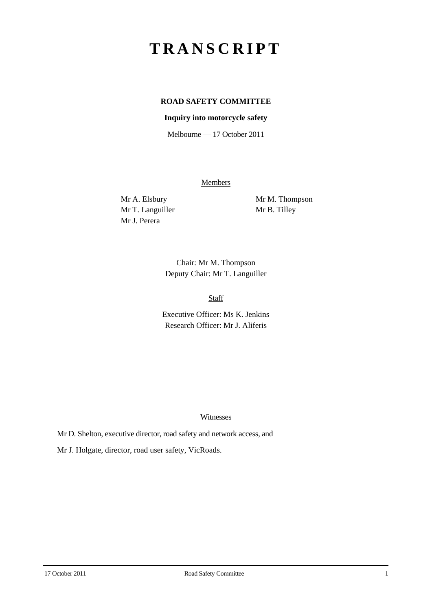# **TRANSCRIPT**

## **ROAD SAFETY COMMITTEE**

### **Inquiry into motorcycle safety**

Melbourne — 17 October 2011

**Members** 

Mr T. Languiller Mr B. Tilley Mr J. Perera

Mr A. Elsbury Mr M. Thompson

Chair: Mr M. Thompson Deputy Chair: Mr T. Languiller

Staff

Executive Officer: Ms K. Jenkins Research Officer: Mr J. Aliferis

#### Witnesses

Mr D. Shelton, executive director, road safety and network access, and

Mr J. Holgate, director, road user safety, VicRoads.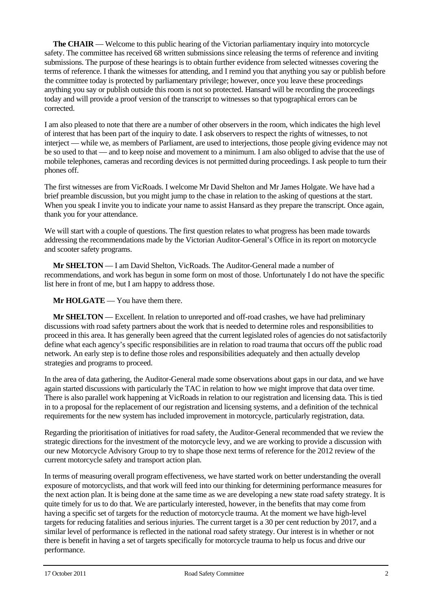**The CHAIR** — Welcome to this public hearing of the Victorian parliamentary inquiry into motorcycle safety. The committee has received 68 written submissions since releasing the terms of reference and inviting submissions. The purpose of these hearings is to obtain further evidence from selected witnesses covering the terms of reference. I thank the witnesses for attending, and I remind you that anything you say or publish before the committee today is protected by parliamentary privilege; however, once you leave these proceedings anything you say or publish outside this room is not so protected. Hansard will be recording the proceedings today and will provide a proof version of the transcript to witnesses so that typographical errors can be corrected.

I am also pleased to note that there are a number of other observers in the room, which indicates the high level of interest that has been part of the inquiry to date. I ask observers to respect the rights of witnesses, to not interject — while we, as members of Parliament, are used to interjections, those people giving evidence may not be so used to that — and to keep noise and movement to a minimum. I am also obliged to advise that the use of mobile telephones, cameras and recording devices is not permitted during proceedings. I ask people to turn their phones off.

The first witnesses are from VicRoads. I welcome Mr David Shelton and Mr James Holgate. We have had a brief preamble discussion, but you might jump to the chase in relation to the asking of questions at the start. When you speak I invite you to indicate your name to assist Hansard as they prepare the transcript. Once again, thank you for your attendance.

We will start with a couple of questions. The first question relates to what progress has been made towards addressing the recommendations made by the Victorian Auditor-General's Office in its report on motorcycle and scooter safety programs.

**Mr SHELTON** — I am David Shelton, VicRoads. The Auditor-General made a number of recommendations, and work has begun in some form on most of those. Unfortunately I do not have the specific list here in front of me, but I am happy to address those.

**Mr HOLGATE** — You have them there.

**Mr SHELTON** — Excellent. In relation to unreported and off-road crashes, we have had preliminary discussions with road safety partners about the work that is needed to determine roles and responsibilities to proceed in this area. It has generally been agreed that the current legislated roles of agencies do not satisfactorily define what each agency's specific responsibilities are in relation to road trauma that occurs off the public road network. An early step is to define those roles and responsibilities adequately and then actually develop strategies and programs to proceed.

In the area of data gathering, the Auditor-General made some observations about gaps in our data, and we have again started discussions with particularly the TAC in relation to how we might improve that data over time. There is also parallel work happening at VicRoads in relation to our registration and licensing data. This is tied in to a proposal for the replacement of our registration and licensing systems, and a definition of the technical requirements for the new system has included improvement in motorcycle, particularly registration, data.

Regarding the prioritisation of initiatives for road safety, the Auditor-General recommended that we review the strategic directions for the investment of the motorcycle levy, and we are working to provide a discussion with our new Motorcycle Advisory Group to try to shape those next terms of reference for the 2012 review of the current motorcycle safety and transport action plan.

In terms of measuring overall program effectiveness, we have started work on better understanding the overall exposure of motorcyclists, and that work will feed into our thinking for determining performance measures for the next action plan. It is being done at the same time as we are developing a new state road safety strategy. It is quite timely for us to do that. We are particularly interested, however, in the benefits that may come from having a specific set of targets for the reduction of motorcycle trauma. At the moment we have high-level targets for reducing fatalities and serious injuries. The current target is a 30 per cent reduction by 2017, and a similar level of performance is reflected in the national road safety strategy. Our interest is in whether or not there is benefit in having a set of targets specifically for motorcycle trauma to help us focus and drive our performance.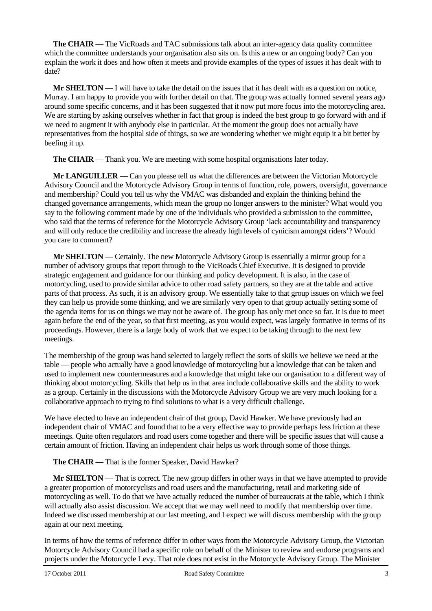**The CHAIR** — The VicRoads and TAC submissions talk about an inter-agency data quality committee which the committee understands your organisation also sits on. Is this a new or an ongoing body? Can you explain the work it does and how often it meets and provide examples of the types of issues it has dealt with to date?

**Mr SHELTON** — I will have to take the detail on the issues that it has dealt with as a question on notice, Murray. I am happy to provide you with further detail on that. The group was actually formed several years ago around some specific concerns, and it has been suggested that it now put more focus into the motorcycling area. We are starting by asking ourselves whether in fact that group is indeed the best group to go forward with and if we need to augment it with anybody else in particular. At the moment the group does not actually have representatives from the hospital side of things, so we are wondering whether we might equip it a bit better by beefing it up.

**The CHAIR** — Thank you. We are meeting with some hospital organisations later today.

**Mr LANGUILLER** — Can you please tell us what the differences are between the Victorian Motorcycle Advisory Council and the Motorcycle Advisory Group in terms of function, role, powers, oversight, governance and membership? Could you tell us why the VMAC was disbanded and explain the thinking behind the changed governance arrangements, which mean the group no longer answers to the minister? What would you say to the following comment made by one of the individuals who provided a submission to the committee, who said that the terms of reference for the Motorcycle Advisory Group 'lack accountability and transparency and will only reduce the credibility and increase the already high levels of cynicism amongst riders'? Would you care to comment?

**Mr SHELTON** — Certainly. The new Motorcycle Advisory Group is essentially a mirror group for a number of advisory groups that report through to the VicRoads Chief Executive. It is designed to provide strategic engagement and guidance for our thinking and policy development. It is also, in the case of motorcycling, used to provide similar advice to other road safety partners, so they are at the table and active parts of that process. As such, it is an advisory group. We essentially take to that group issues on which we feel they can help us provide some thinking, and we are similarly very open to that group actually setting some of the agenda items for us on things we may not be aware of. The group has only met once so far. It is due to meet again before the end of the year, so that first meeting, as you would expect, was largely formative in terms of its proceedings. However, there is a large body of work that we expect to be taking through to the next few meetings.

The membership of the group was hand selected to largely reflect the sorts of skills we believe we need at the table — people who actually have a good knowledge of motorcycling but a knowledge that can be taken and used to implement new countermeasures and a knowledge that might take our organisation to a different way of thinking about motorcycling. Skills that help us in that area include collaborative skills and the ability to work as a group. Certainly in the discussions with the Motorcycle Advisory Group we are very much looking for a collaborative approach to trying to find solutions to what is a very difficult challenge.

We have elected to have an independent chair of that group, David Hawker. We have previously had an independent chair of VMAC and found that to be a very effective way to provide perhaps less friction at these meetings. Quite often regulators and road users come together and there will be specific issues that will cause a certain amount of friction. Having an independent chair helps us work through some of those things.

## **The CHAIR** — That is the former Speaker, David Hawker?

**Mr SHELTON** — That is correct. The new group differs in other ways in that we have attempted to provide a greater proportion of motorcyclists and road users and the manufacturing, retail and marketing side of motorcycling as well. To do that we have actually reduced the number of bureaucrats at the table, which I think will actually also assist discussion. We accept that we may well need to modify that membership over time. Indeed we discussed membership at our last meeting, and I expect we will discuss membership with the group again at our next meeting.

In terms of how the terms of reference differ in other ways from the Motorcycle Advisory Group, the Victorian Motorcycle Advisory Council had a specific role on behalf of the Minister to review and endorse programs and projects under the Motorcycle Levy. That role does not exist in the Motorcycle Advisory Group. The Minister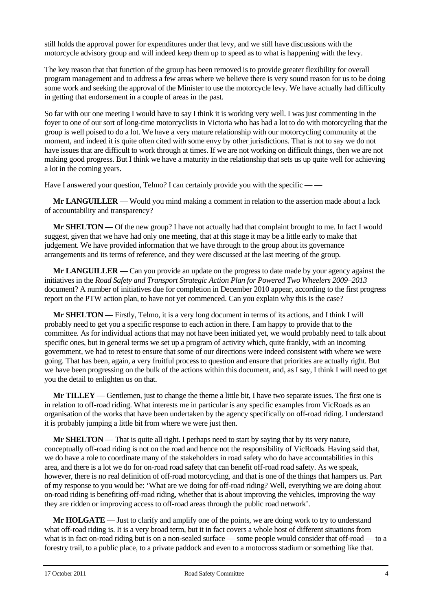still holds the approval power for expenditures under that levy, and we still have discussions with the motorcycle advisory group and will indeed keep them up to speed as to what is happening with the levy.

The key reason that that function of the group has been removed is to provide greater flexibility for overall program management and to address a few areas where we believe there is very sound reason for us to be doing some work and seeking the approval of the Minister to use the motorcycle levy. We have actually had difficulty in getting that endorsement in a couple of areas in the past.

So far with our one meeting I would have to say I think it is working very well. I was just commenting in the foyer to one of our sort of long-time motorcyclists in Victoria who has had a lot to do with motorcycling that the group is well poised to do a lot. We have a very mature relationship with our motorcycling community at the moment, and indeed it is quite often cited with some envy by other jurisdictions. That is not to say we do not have issues that are difficult to work through at times. If we are not working on difficult things, then we are not making good progress. But I think we have a maturity in the relationship that sets us up quite well for achieving a lot in the coming years.

Have I answered your question, Telmo? I can certainly provide you with the specific — —

**Mr LANGUILLER** — Would you mind making a comment in relation to the assertion made about a lack of accountability and transparency?

**Mr SHELTON** — Of the new group? I have not actually had that complaint brought to me. In fact I would suggest, given that we have had only one meeting, that at this stage it may be a little early to make that judgement. We have provided information that we have through to the group about its governance arrangements and its terms of reference, and they were discussed at the last meeting of the group.

**Mr LANGUILLER** — Can you provide an update on the progress to date made by your agency against the initiatives in the *Road Safety and Transport Strategic Action Plan for Powered Two Wheelers 2009–2013* document? A number of initiatives due for completion in December 2010 appear, according to the first progress report on the PTW action plan, to have not yet commenced. Can you explain why this is the case?

**Mr SHELTON** — Firstly, Telmo, it is a very long document in terms of its actions, and I think I will probably need to get you a specific response to each action in there. I am happy to provide that to the committee. As for individual actions that may not have been initiated yet, we would probably need to talk about specific ones, but in general terms we set up a program of activity which, quite frankly, with an incoming government, we had to retest to ensure that some of our directions were indeed consistent with where we were going. That has been, again, a very fruitful process to question and ensure that priorities are actually right. But we have been progressing on the bulk of the actions within this document, and, as I say, I think I will need to get you the detail to enlighten us on that.

**Mr TILLEY** — Gentlemen, just to change the theme a little bit, I have two separate issues. The first one is in relation to off-road riding. What interests me in particular is any specific examples from VicRoads as an organisation of the works that have been undertaken by the agency specifically on off-road riding. I understand it is probably jumping a little bit from where we were just then.

**Mr SHELTON** — That is quite all right. I perhaps need to start by saying that by its very nature, conceptually off-road riding is not on the road and hence not the responsibility of VicRoads. Having said that, we do have a role to coordinate many of the stakeholders in road safety who do have accountabilities in this area, and there is a lot we do for on-road road safety that can benefit off-road road safety. As we speak, however, there is no real definition of off-road motorcycling, and that is one of the things that hampers us. Part of my response to you would be: 'What are we doing for off-road riding? Well, everything we are doing about on-road riding is benefiting off-road riding, whether that is about improving the vehicles, improving the way they are ridden or improving access to off-road areas through the public road network'.

**Mr HOLGATE** — Just to clarify and amplify one of the points, we are doing work to try to understand what off-road riding is. It is a very broad term, but it in fact covers a whole host of different situations from what is in fact on-road riding but is on a non-sealed surface — some people would consider that off-road — to a forestry trail, to a public place, to a private paddock and even to a motocross stadium or something like that.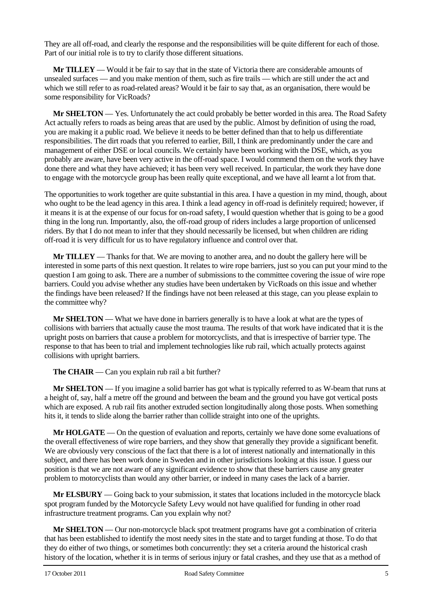They are all off-road, and clearly the response and the responsibilities will be quite different for each of those. Part of our initial role is to try to clarify those different situations.

**Mr TILLEY** — Would it be fair to say that in the state of Victoria there are considerable amounts of unsealed surfaces — and you make mention of them, such as fire trails — which are still under the act and which we still refer to as road-related areas? Would it be fair to say that, as an organisation, there would be some responsibility for VicRoads?

**Mr SHELTON** — Yes. Unfortunately the act could probably be better worded in this area. The Road Safety Act actually refers to roads as being areas that are used by the public. Almost by definition of using the road, you are making it a public road. We believe it needs to be better defined than that to help us differentiate responsibilities. The dirt roads that you referred to earlier, Bill, I think are predominantly under the care and management of either DSE or local councils. We certainly have been working with the DSE, which, as you probably are aware, have been very active in the off-road space. I would commend them on the work they have done there and what they have achieved; it has been very well received. In particular, the work they have done to engage with the motorcycle group has been really quite exceptional, and we have all learnt a lot from that.

The opportunities to work together are quite substantial in this area. I have a question in my mind, though, about who ought to be the lead agency in this area. I think a lead agency in off-road is definitely required; however, if it means it is at the expense of our focus for on-road safety, I would question whether that is going to be a good thing in the long run. Importantly, also, the off-road group of riders includes a large proportion of unlicensed riders. By that I do not mean to infer that they should necessarily be licensed, but when children are riding off-road it is very difficult for us to have regulatory influence and control over that.

**Mr TILLEY** — Thanks for that. We are moving to another area, and no doubt the gallery here will be interested in some parts of this next question. It relates to wire rope barriers, just so you can put your mind to the question I am going to ask. There are a number of submissions to the committee covering the issue of wire rope barriers. Could you advise whether any studies have been undertaken by VicRoads on this issue and whether the findings have been released? If the findings have not been released at this stage, can you please explain to the committee why?

**Mr SHELTON** — What we have done in barriers generally is to have a look at what are the types of collisions with barriers that actually cause the most trauma. The results of that work have indicated that it is the upright posts on barriers that cause a problem for motorcyclists, and that is irrespective of barrier type. The response to that has been to trial and implement technologies like rub rail, which actually protects against collisions with upright barriers.

**The CHAIR** — Can you explain rub rail a bit further?

**Mr SHELTON** — If you imagine a solid barrier has got what is typically referred to as W-beam that runs at a height of, say, half a metre off the ground and between the beam and the ground you have got vertical posts which are exposed. A rub rail fits another extruded section longitudinally along those posts. When something hits it, it tends to slide along the barrier rather than collide straight into one of the uprights.

**Mr HOLGATE** — On the question of evaluation and reports, certainly we have done some evaluations of the overall effectiveness of wire rope barriers, and they show that generally they provide a significant benefit. We are obviously very conscious of the fact that there is a lot of interest nationally and internationally in this subject, and there has been work done in Sweden and in other jurisdictions looking at this issue. I guess our position is that we are not aware of any significant evidence to show that these barriers cause any greater problem to motorcyclists than would any other barrier, or indeed in many cases the lack of a barrier.

**Mr ELSBURY** — Going back to your submission, it states that locations included in the motorcycle black spot program funded by the Motorcycle Safety Levy would not have qualified for funding in other road infrastructure treatment programs. Can you explain why not?

**Mr SHELTON** — Our non-motorcycle black spot treatment programs have got a combination of criteria that has been established to identify the most needy sites in the state and to target funding at those. To do that they do either of two things, or sometimes both concurrently: they set a criteria around the historical crash history of the location, whether it is in terms of serious injury or fatal crashes, and they use that as a method of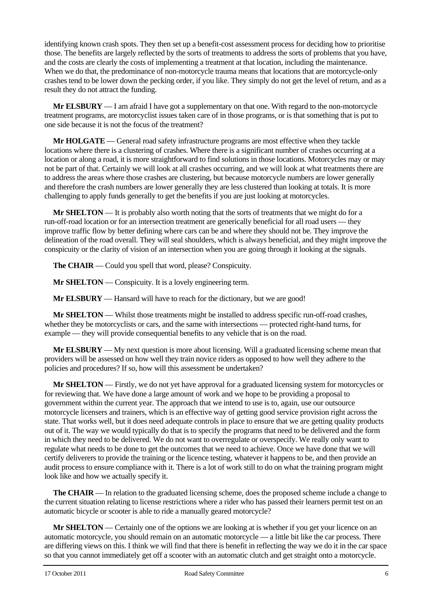identifying known crash spots. They then set up a benefit-cost assessment process for deciding how to prioritise those. The benefits are largely reflected by the sorts of treatments to address the sorts of problems that you have, and the costs are clearly the costs of implementing a treatment at that location, including the maintenance. When we do that, the predominance of non-motorcycle trauma means that locations that are motorcycle-only crashes tend to be lower down the pecking order, if you like. They simply do not get the level of return, and as a result they do not attract the funding.

**Mr ELSBURY** — I am afraid I have got a supplementary on that one. With regard to the non-motorcycle treatment programs, are motorcyclist issues taken care of in those programs, or is that something that is put to one side because it is not the focus of the treatment?

**Mr HOLGATE** — General road safety infrastructure programs are most effective when they tackle locations where there is a clustering of crashes. Where there is a significant number of crashes occurring at a location or along a road, it is more straightforward to find solutions in those locations. Motorcycles may or may not be part of that. Certainly we will look at all crashes occurring, and we will look at what treatments there are to address the areas where those crashes are clustering, but because motorcycle numbers are lower generally and therefore the crash numbers are lower generally they are less clustered than looking at totals. It is more challenging to apply funds generally to get the benefits if you are just looking at motorcycles.

**Mr SHELTON** — It is probably also worth noting that the sorts of treatments that we might do for a run-off-road location or for an intersection treatment are generically beneficial for all road users — they improve traffic flow by better defining where cars can be and where they should not be. They improve the delineation of the road overall. They will seal shoulders, which is always beneficial, and they might improve the conspicuity or the clarity of vision of an intersection when you are going through it looking at the signals.

**The CHAIR** — Could you spell that word, please? Conspicuity.

**Mr SHELTON** — Conspicuity. It is a lovely engineering term.

**Mr ELSBURY** — Hansard will have to reach for the dictionary, but we are good!

**Mr SHELTON** — Whilst those treatments might be installed to address specific run-off-road crashes, whether they be motorcyclists or cars, and the same with intersections — protected right-hand turns, for example — they will provide consequential benefits to any vehicle that is on the road.

**Mr ELSBURY** — My next question is more about licensing. Will a graduated licensing scheme mean that providers will be assessed on how well they train novice riders as opposed to how well they adhere to the policies and procedures? If so, how will this assessment be undertaken?

**Mr SHELTON** — Firstly, we do not yet have approval for a graduated licensing system for motorcycles or for reviewing that. We have done a large amount of work and we hope to be providing a proposal to government within the current year. The approach that we intend to use is to, again, use our outsource motorcycle licensers and trainers, which is an effective way of getting good service provision right across the state. That works well, but it does need adequate controls in place to ensure that we are getting quality products out of it. The way we would typically do that is to specify the programs that need to be delivered and the form in which they need to be delivered. We do not want to overregulate or overspecify. We really only want to regulate what needs to be done to get the outcomes that we need to achieve. Once we have done that we will certify deliverers to provide the training or the licence testing, whatever it happens to be, and then provide an audit process to ensure compliance with it. There is a lot of work still to do on what the training program might look like and how we actually specify it.

**The CHAIR** — In relation to the graduated licensing scheme, does the proposed scheme include a change to the current situation relating to license restrictions where a rider who has passed their learners permit test on an automatic bicycle or scooter is able to ride a manually geared motorcycle?

**Mr SHELTON** — Certainly one of the options we are looking at is whether if you get your licence on an automatic motorcycle, you should remain on an automatic motorcycle — a little bit like the car process. There are differing views on this. I think we will find that there is benefit in reflecting the way we do it in the car space so that you cannot immediately get off a scooter with an automatic clutch and get straight onto a motorcycle.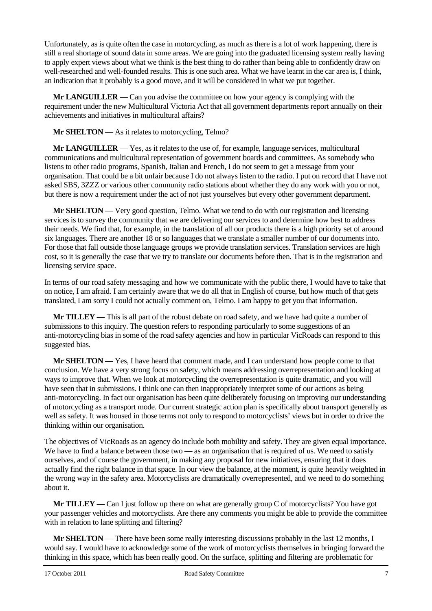Unfortunately, as is quite often the case in motorcycling, as much as there is a lot of work happening, there is still a real shortage of sound data in some areas. We are going into the graduated licensing system really having to apply expert views about what we think is the best thing to do rather than being able to confidently draw on well-researched and well-founded results. This is one such area. What we have learnt in the car area is, I think, an indication that it probably is a good move, and it will be considered in what we put together.

**Mr LANGUILLER** — Can you advise the committee on how your agency is complying with the requirement under the new Multicultural Victoria Act that all government departments report annually on their achievements and initiatives in multicultural affairs?

## **Mr SHELTON** — As it relates to motorcycling, Telmo?

**Mr LANGUILLER** — Yes, as it relates to the use of, for example, language services, multicultural communications and multicultural representation of government boards and committees. As somebody who listens to other radio programs, Spanish, Italian and French, I do not seem to get a message from your organisation. That could be a bit unfair because I do not always listen to the radio. I put on record that I have not asked SBS, 3ZZZ or various other community radio stations about whether they do any work with you or not, but there is now a requirement under the act of not just yourselves but every other government department.

**Mr SHELTON** — Very good question, Telmo. What we tend to do with our registration and licensing services is to survey the community that we are delivering our services to and determine how best to address their needs. We find that, for example, in the translation of all our products there is a high priority set of around six languages. There are another 18 or so languages that we translate a smaller number of our documents into. For those that fall outside those language groups we provide translation services. Translation services are high cost, so it is generally the case that we try to translate our documents before then. That is in the registration and licensing service space.

In terms of our road safety messaging and how we communicate with the public there, I would have to take that on notice, I am afraid. I am certainly aware that we do all that in English of course, but how much of that gets translated, I am sorry I could not actually comment on, Telmo. I am happy to get you that information.

**Mr TILLEY** — This is all part of the robust debate on road safety, and we have had quite a number of submissions to this inquiry. The question refers to responding particularly to some suggestions of an anti-motorcycling bias in some of the road safety agencies and how in particular VicRoads can respond to this suggested bias.

**Mr SHELTON** — Yes, I have heard that comment made, and I can understand how people come to that conclusion. We have a very strong focus on safety, which means addressing overrepresentation and looking at ways to improve that. When we look at motorcycling the overrepresentation is quite dramatic, and you will have seen that in submissions. I think one can then inappropriately interpret some of our actions as being anti-motorcycling. In fact our organisation has been quite deliberately focusing on improving our understanding of motorcycling as a transport mode. Our current strategic action plan is specifically about transport generally as well as safety. It was housed in those terms not only to respond to motorcyclists' views but in order to drive the thinking within our organisation.

The objectives of VicRoads as an agency do include both mobility and safety. They are given equal importance. We have to find a balance between those two — as an organisation that is required of us. We need to satisfy ourselves, and of course the government, in making any proposal for new initiatives, ensuring that it does actually find the right balance in that space. In our view the balance, at the moment, is quite heavily weighted in the wrong way in the safety area. Motorcyclists are dramatically overrepresented, and we need to do something about it.

**Mr TILLEY** — Can I just follow up there on what are generally group C of motorcyclists? You have got your passenger vehicles and motorcyclists. Are there any comments you might be able to provide the committee with in relation to lane splitting and filtering?

**Mr SHELTON** — There have been some really interesting discussions probably in the last 12 months, I would say. I would have to acknowledge some of the work of motorcyclists themselves in bringing forward the thinking in this space, which has been really good. On the surface, splitting and filtering are problematic for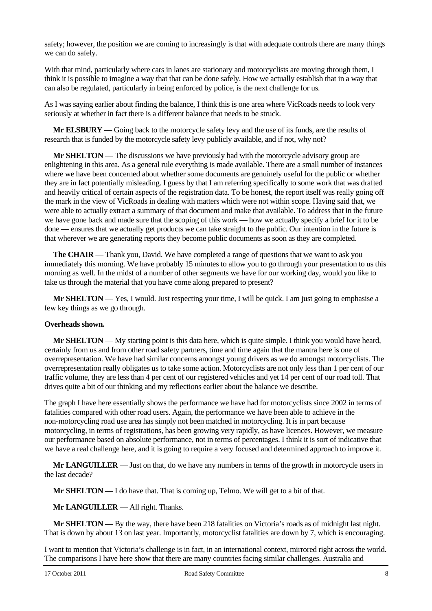safety; however, the position we are coming to increasingly is that with adequate controls there are many things we can do safely.

With that mind, particularly where cars in lanes are stationary and motorcyclists are moving through them, I think it is possible to imagine a way that that can be done safely. How we actually establish that in a way that can also be regulated, particularly in being enforced by police, is the next challenge for us.

As I was saying earlier about finding the balance, I think this is one area where VicRoads needs to look very seriously at whether in fact there is a different balance that needs to be struck.

**Mr ELSBURY** — Going back to the motorcycle safety levy and the use of its funds, are the results of research that is funded by the motorcycle safety levy publicly available, and if not, why not?

**Mr SHELTON** — The discussions we have previously had with the motorcycle advisory group are enlightening in this area. As a general rule everything is made available. There are a small number of instances where we have been concerned about whether some documents are genuinely useful for the public or whether they are in fact potentially misleading. I guess by that I am referring specifically to some work that was drafted and heavily critical of certain aspects of the registration data. To be honest, the report itself was really going off the mark in the view of VicRoads in dealing with matters which were not within scope. Having said that, we were able to actually extract a summary of that document and make that available. To address that in the future we have gone back and made sure that the scoping of this work — how we actually specify a brief for it to be done — ensures that we actually get products we can take straight to the public. Our intention in the future is that wherever we are generating reports they become public documents as soon as they are completed.

**The CHAIR** — Thank you, David. We have completed a range of questions that we want to ask you immediately this morning. We have probably 15 minutes to allow you to go through your presentation to us this morning as well. In the midst of a number of other segments we have for our working day, would you like to take us through the material that you have come along prepared to present?

**Mr SHELTON** — Yes, I would. Just respecting your time, I will be quick. I am just going to emphasise a few key things as we go through.

#### **Overheads shown.**

**Mr SHELTON** — My starting point is this data here, which is quite simple. I think you would have heard, certainly from us and from other road safety partners, time and time again that the mantra here is one of overrepresentation. We have had similar concerns amongst young drivers as we do amongst motorcyclists. The overrepresentation really obligates us to take some action. Motorcyclists are not only less than 1 per cent of our traffic volume, they are less than 4 per cent of our registered vehicles and yet 14 per cent of our road toll. That drives quite a bit of our thinking and my reflections earlier about the balance we describe.

The graph I have here essentially shows the performance we have had for motorcyclists since 2002 in terms of fatalities compared with other road users. Again, the performance we have been able to achieve in the non-motorcycling road use area has simply not been matched in motorcycling. It is in part because motorcycling, in terms of registrations, has been growing very rapidly, as have licences. However, we measure our performance based on absolute performance, not in terms of percentages. I think it is sort of indicative that we have a real challenge here, and it is going to require a very focused and determined approach to improve it.

**Mr LANGUILLER** — Just on that, do we have any numbers in terms of the growth in motorcycle users in the last decade?

**Mr SHELTON** — I do have that. That is coming up, Telmo. We will get to a bit of that.

**Mr LANGUILLER** — All right. Thanks.

**Mr SHELTON** — By the way, there have been 218 fatalities on Victoria's roads as of midnight last night. That is down by about 13 on last year. Importantly, motorcyclist fatalities are down by 7, which is encouraging.

I want to mention that Victoria's challenge is in fact, in an international context, mirrored right across the world. The comparisons I have here show that there are many countries facing similar challenges. Australia and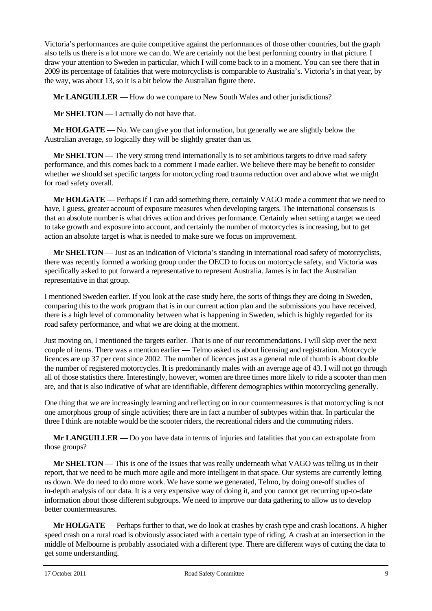Victoria's performances are quite competitive against the performances of those other countries, but the graph also tells us there is a lot more we can do. We are certainly not the best performing country in that picture. I draw your attention to Sweden in particular, which I will come back to in a moment. You can see there that in 2009 its percentage of fatalities that were motorcyclists is comparable to Australia's. Victoria's in that year, by the way, was about 13, so it is a bit below the Australian figure there.

**Mr LANGUILLER** — How do we compare to New South Wales and other jurisdictions?

**Mr SHELTON** — I actually do not have that.

**Mr HOLGATE** — No. We can give you that information, but generally we are slightly below the Australian average, so logically they will be slightly greater than us.

**Mr SHELTON** — The very strong trend internationally is to set ambitious targets to drive road safety performance, and this comes back to a comment I made earlier. We believe there may be benefit to consider whether we should set specific targets for motorcycling road trauma reduction over and above what we might for road safety overall.

**Mr HOLGATE** — Perhaps if I can add something there, certainly VAGO made a comment that we need to have, I guess, greater account of exposure measures when developing targets. The international consensus is that an absolute number is what drives action and drives performance. Certainly when setting a target we need to take growth and exposure into account, and certainly the number of motorcycles is increasing, but to get action an absolute target is what is needed to make sure we focus on improvement.

**Mr SHELTON** — Just as an indication of Victoria's standing in international road safety of motorcyclists, there was recently formed a working group under the OECD to focus on motorcycle safety, and Victoria was specifically asked to put forward a representative to represent Australia. James is in fact the Australian representative in that group.

I mentioned Sweden earlier. If you look at the case study here, the sorts of things they are doing in Sweden, comparing this to the work program that is in our current action plan and the submissions you have received, there is a high level of commonality between what is happening in Sweden, which is highly regarded for its road safety performance, and what we are doing at the moment.

Just moving on, I mentioned the targets earlier. That is one of our recommendations. I will skip over the next couple of items. There was a mention earlier — Telmo asked us about licensing and registration. Motorcycle licences are up 37 per cent since 2002. The number of licences just as a general rule of thumb is about double the number of registered motorcycles. It is predominantly males with an average age of 43. I will not go through all of those statistics there. Interestingly, however, women are three times more likely to ride a scooter than men are, and that is also indicative of what are identifiable, different demographics within motorcycling generally.

One thing that we are increasingly learning and reflecting on in our countermeasures is that motorcycling is not one amorphous group of single activities; there are in fact a number of subtypes within that. In particular the three I think are notable would be the scooter riders, the recreational riders and the commuting riders.

**Mr LANGUILLER** — Do you have data in terms of injuries and fatalities that you can extrapolate from those groups?

**Mr SHELTON** — This is one of the issues that was really underneath what VAGO was telling us in their report, that we need to be much more agile and more intelligent in that space. Our systems are currently letting us down. We do need to do more work. We have some we generated, Telmo, by doing one-off studies of in-depth analysis of our data. It is a very expensive way of doing it, and you cannot get recurring up-to-date information about those different subgroups. We need to improve our data gathering to allow us to develop better countermeasures.

**Mr HOLGATE** — Perhaps further to that, we do look at crashes by crash type and crash locations. A higher speed crash on a rural road is obviously associated with a certain type of riding. A crash at an intersection in the middle of Melbourne is probably associated with a different type. There are different ways of cutting the data to get some understanding.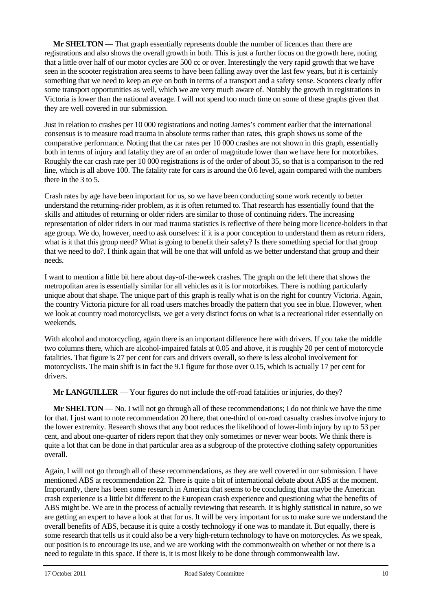**Mr SHELTON** — That graph essentially represents double the number of licences than there are registrations and also shows the overall growth in both. This is just a further focus on the growth here, noting that a little over half of our motor cycles are 500 cc or over. Interestingly the very rapid growth that we have seen in the scooter registration area seems to have been falling away over the last few years, but it is certainly something that we need to keep an eye on both in terms of a transport and a safety sense. Scooters clearly offer some transport opportunities as well, which we are very much aware of. Notably the growth in registrations in Victoria is lower than the national average. I will not spend too much time on some of these graphs given that they are well covered in our submission.

Just in relation to crashes per 10 000 registrations and noting James's comment earlier that the international consensus is to measure road trauma in absolute terms rather than rates, this graph shows us some of the comparative performance. Noting that the car rates per 10 000 crashes are not shown in this graph, essentially both in terms of injury and fatality they are of an order of magnitude lower than we have here for motorbikes. Roughly the car crash rate per 10 000 registrations is of the order of about 35, so that is a comparison to the red line, which is all above 100. The fatality rate for cars is around the 0.6 level, again compared with the numbers there in the 3 to 5.

Crash rates by age have been important for us, so we have been conducting some work recently to better understand the returning-rider problem, as it is often returned to. That research has essentially found that the skills and attitudes of returning or older riders are similar to those of continuing riders. The increasing representation of older riders in our road trauma statistics is reflective of there being more licence-holders in that age group. We do, however, need to ask ourselves: if it is a poor conception to understand them as return riders, what is it that this group need? What is going to benefit their safety? Is there something special for that group that we need to do?. I think again that will be one that will unfold as we better understand that group and their needs.

I want to mention a little bit here about day-of-the-week crashes. The graph on the left there that shows the metropolitan area is essentially similar for all vehicles as it is for motorbikes. There is nothing particularly unique about that shape. The unique part of this graph is really what is on the right for country Victoria. Again, the country Victoria picture for all road users matches broadly the pattern that you see in blue. However, when we look at country road motorcyclists, we get a very distinct focus on what is a recreational rider essentially on weekends.

With alcohol and motorcycling, again there is an important difference here with drivers. If you take the middle two columns there, which are alcohol-impaired fatals at 0.05 and above, it is roughly 20 per cent of motorcycle fatalities. That figure is 27 per cent for cars and drivers overall, so there is less alcohol involvement for motorcyclists. The main shift is in fact the 9.1 figure for those over 0.15, which is actually 17 per cent for drivers.

**Mr LANGUILLER** — Your figures do not include the off-road fatalities or injuries, do they?

**Mr SHELTON** — No. I will not go through all of these recommendations; I do not think we have the time for that. I just want to note recommendation 20 here, that one-third of on-road casualty crashes involve injury to the lower extremity. Research shows that any boot reduces the likelihood of lower-limb injury by up to 53 per cent, and about one-quarter of riders report that they only sometimes or never wear boots. We think there is quite a lot that can be done in that particular area as a subgroup of the protective clothing safety opportunities overall.

Again, I will not go through all of these recommendations, as they are well covered in our submission. I have mentioned ABS at recommendation 22. There is quite a bit of international debate about ABS at the moment. Importantly, there has been some research in America that seems to be concluding that maybe the American crash experience is a little bit different to the European crash experience and questioning what the benefits of ABS might be. We are in the process of actually reviewing that research. It is highly statistical in nature, so we are getting an expert to have a look at that for us. It will be very important for us to make sure we understand the overall benefits of ABS, because it is quite a costly technology if one was to mandate it. But equally, there is some research that tells us it could also be a very high-return technology to have on motorcycles. As we speak, our position is to encourage its use, and we are working with the commonwealth on whether or not there is a need to regulate in this space. If there is, it is most likely to be done through commonwealth law.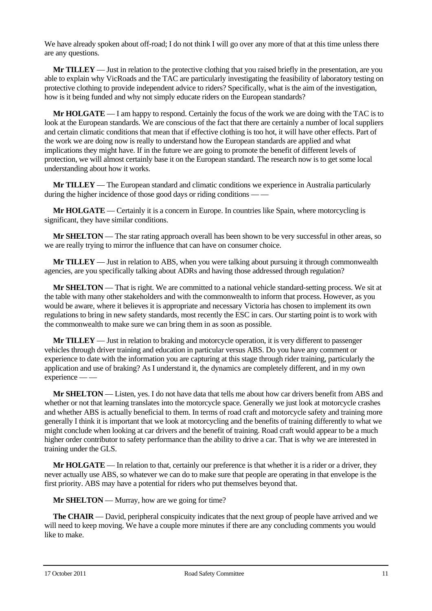We have already spoken about off-road; I do not think I will go over any more of that at this time unless there are any questions.

**Mr TILLEY** — Just in relation to the protective clothing that you raised briefly in the presentation, are you able to explain why VicRoads and the TAC are particularly investigating the feasibility of laboratory testing on protective clothing to provide independent advice to riders? Specifically, what is the aim of the investigation, how is it being funded and why not simply educate riders on the European standards?

**Mr HOLGATE** — I am happy to respond. Certainly the focus of the work we are doing with the TAC is to look at the European standards. We are conscious of the fact that there are certainly a number of local suppliers and certain climatic conditions that mean that if effective clothing is too hot, it will have other effects. Part of the work we are doing now is really to understand how the European standards are applied and what implications they might have. If in the future we are going to promote the benefit of different levels of protection, we will almost certainly base it on the European standard. The research now is to get some local understanding about how it works.

**Mr TILLEY** — The European standard and climatic conditions we experience in Australia particularly during the higher incidence of those good days or riding conditions — —

**Mr HOLGATE** — Certainly it is a concern in Europe. In countries like Spain, where motorcycling is significant, they have similar conditions.

**Mr SHELTON** — The star rating approach overall has been shown to be very successful in other areas, so we are really trying to mirror the influence that can have on consumer choice.

**Mr TILLEY** — Just in relation to ABS, when you were talking about pursuing it through commonwealth agencies, are you specifically talking about ADRs and having those addressed through regulation?

**Mr SHELTON** — That is right. We are committed to a national vehicle standard-setting process. We sit at the table with many other stakeholders and with the commonwealth to inform that process. However, as you would be aware, where it believes it is appropriate and necessary Victoria has chosen to implement its own regulations to bring in new safety standards, most recently the ESC in cars. Our starting point is to work with the commonwealth to make sure we can bring them in as soon as possible.

**Mr TILLEY** — Just in relation to braking and motorcycle operation, it is very different to passenger vehicles through driver training and education in particular versus ABS. Do you have any comment or experience to date with the information you are capturing at this stage through rider training, particularly the application and use of braking? As I understand it, the dynamics are completely different, and in my own experience — —

**Mr SHELTON** — Listen, yes. I do not have data that tells me about how car drivers benefit from ABS and whether or not that learning translates into the motorcycle space. Generally we just look at motorcycle crashes and whether ABS is actually beneficial to them. In terms of road craft and motorcycle safety and training more generally I think it is important that we look at motorcycling and the benefits of training differently to what we might conclude when looking at car drivers and the benefit of training. Road craft would appear to be a much higher order contributor to safety performance than the ability to drive a car. That is why we are interested in training under the GLS.

**Mr HOLGATE** — In relation to that, certainly our preference is that whether it is a rider or a driver, they never actually use ABS, so whatever we can do to make sure that people are operating in that envelope is the first priority. ABS may have a potential for riders who put themselves beyond that.

**Mr SHELTON** — Murray, how are we going for time?

**The CHAIR** — David, peripheral conspicuity indicates that the next group of people have arrived and we will need to keep moving. We have a couple more minutes if there are any concluding comments you would like to make.